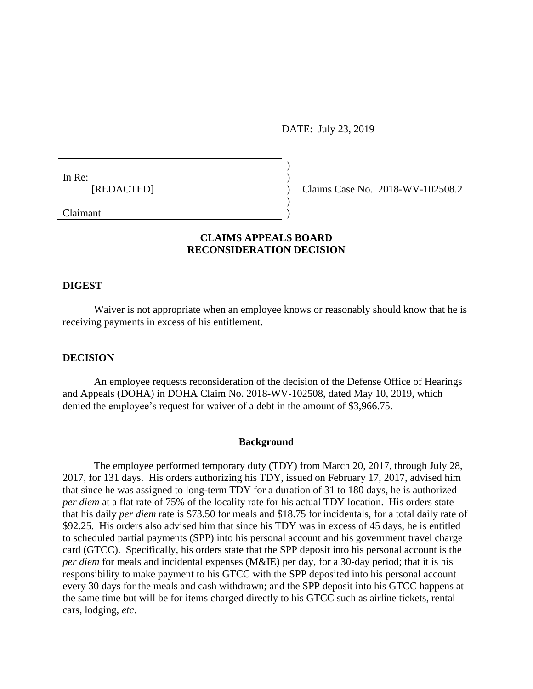DATE: July 23, 2019

In Re: [REDACTED]

Claims Case No. 2018-WV-102508.2

Claimant

## **CLAIMS APPEALS BOARD RECONSIDERATION DECISION**

) )  $\lambda$ ) )

#### **DIGEST**

Waiver is not appropriate when an employee knows or reasonably should know that he is receiving payments in excess of his entitlement.

#### **DECISION**

An employee requests reconsideration of the decision of the Defense Office of Hearings and Appeals (DOHA) in DOHA Claim No. 2018-WV-102508, dated May 10, 2019, which denied the employee's request for waiver of a debt in the amount of \$3,966.75.

#### **Background**

The employee performed temporary duty (TDY) from March 20, 2017, through July 28, 2017, for 131 days. His orders authorizing his TDY, issued on February 17, 2017, advised him that since he was assigned to long-term TDY for a duration of 31 to 180 days, he is authorized *per diem* at a flat rate of 75% of the locality rate for his actual TDY location. His orders state that his daily *per diem* rate is \$73.50 for meals and \$18.75 for incidentals, for a total daily rate of \$92.25. His orders also advised him that since his TDY was in excess of 45 days, he is entitled to scheduled partial payments (SPP) into his personal account and his government travel charge card (GTCC). Specifically, his orders state that the SPP deposit into his personal account is the *per diem* for meals and incidental expenses (M&IE) per day, for a 30-day period; that it is his responsibility to make payment to his GTCC with the SPP deposited into his personal account every 30 days for the meals and cash withdrawn; and the SPP deposit into his GTCC happens at the same time but will be for items charged directly to his GTCC such as airline tickets, rental cars, lodging, *etc*.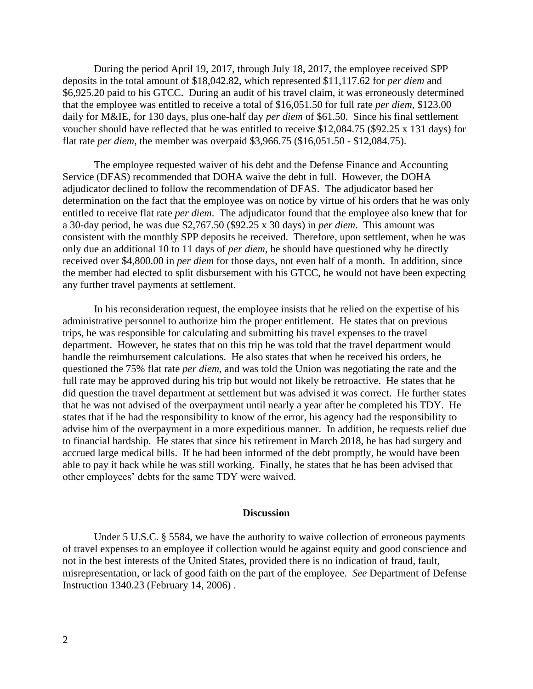During the period April 19, 2017, through July 18, 2017, the employee received SPP deposits in the total amount of \$18,042.82, which represented \$11,117.62 for *per diem* and \$6,925.20 paid to his GTCC. During an audit of his travel claim, it was erroneously determined that the employee was entitled to receive a total of \$16,051.50 for full rate *per diem*, \$123.00 daily for M&IE, for 130 days, plus one-half day *per diem* of \$61.50. Since his final settlement voucher should have reflected that he was entitled to receive \$12,084.75 (\$92.25 x 131 days) for flat rate *per diem*, the member was overpaid \$3,966.75 (\$16,051.50 - \$12,084.75).

The employee requested waiver of his debt and the Defense Finance and Accounting Service (DFAS) recommended that DOHA waive the debt in full. However, the DOHA adjudicator declined to follow the recommendation of DFAS. The adjudicator based her determination on the fact that the employee was on notice by virtue of his orders that he was only entitled to receive flat rate *per diem*. The adjudicator found that the employee also knew that for a 30-day period, he was due \$2,767.50 (\$92.25 x 30 days) in *per diem*. This amount was consistent with the monthly SPP deposits he received. Therefore, upon settlement, when he was only due an additional 10 to 11 days of *per diem*, he should have questioned why he directly received over \$4,800.00 in *per diem* for those days, not even half of a month. In addition, since the member had elected to split disbursement with his GTCC, he would not have been expecting any further travel payments at settlement.

In his reconsideration request, the employee insists that he relied on the expertise of his administrative personnel to authorize him the proper entitlement. He states that on previous trips, he was responsible for calculating and submitting his travel expenses to the travel department. However, he states that on this trip he was told that the travel department would handle the reimbursement calculations. He also states that when he received his orders, he questioned the 75% flat rate *per diem*, and was told the Union was negotiating the rate and the full rate may be approved during his trip but would not likely be retroactive. He states that he did question the travel department at settlement but was advised it was correct. He further states that he was not advised of the overpayment until nearly a year after he completed his TDY. He states that if he had the responsibility to know of the error, his agency had the responsibility to advise him of the overpayment in a more expeditious manner. In addition, he requests relief due to financial hardship. He states that since his retirement in March 2018, he has had surgery and accrued large medical bills. If he had been informed of the debt promptly, he would have been able to pay it back while he was still working. Finally, he states that he has been advised that other employees' debts for the same TDY were waived.

### **Discussion**

Under 5 U.S.C. § 5584, we have the authority to waive collection of erroneous payments of travel expenses to an employee if collection would be against equity and good conscience and not in the best interests of the United States, provided there is no indication of fraud, fault, misrepresentation, or lack of good faith on the part of the employee. *See* Department of Defense Instruction 1340.23 (February 14, 2006) .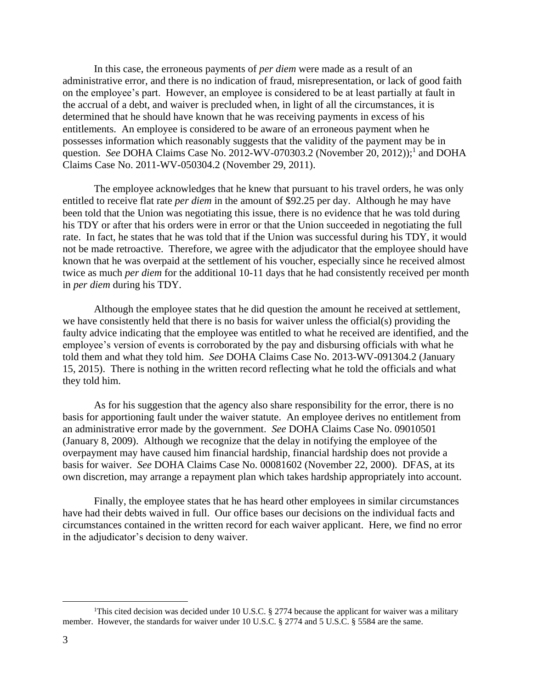In this case, the erroneous payments of *per diem* were made as a result of an administrative error, and there is no indication of fraud, misrepresentation, or lack of good faith on the employee's part. However, an employee is considered to be at least partially at fault in the accrual of a debt, and waiver is precluded when, in light of all the circumstances, it is determined that he should have known that he was receiving payments in excess of his entitlements. An employee is considered to be aware of an erroneous payment when he possesses information which reasonably suggests that the validity of the payment may be in question. *See* DOHA Claims Case No. 2012-WV-070303.2 (November 20, 2012));<sup>1</sup> and DOHA Claims Case No. 2011-WV-050304.2 (November 29, 2011).

The employee acknowledges that he knew that pursuant to his travel orders, he was only entitled to receive flat rate *per diem* in the amount of \$92.25 per day. Although he may have been told that the Union was negotiating this issue, there is no evidence that he was told during his TDY or after that his orders were in error or that the Union succeeded in negotiating the full rate. In fact, he states that he was told that if the Union was successful during his TDY, it would not be made retroactive. Therefore, we agree with the adjudicator that the employee should have known that he was overpaid at the settlement of his voucher, especially since he received almost twice as much *per diem* for the additional 10-11 days that he had consistently received per month in *per diem* during his TDY.

Although the employee states that he did question the amount he received at settlement, we have consistently held that there is no basis for waiver unless the official(s) providing the faulty advice indicating that the employee was entitled to what he received are identified, and the employee's version of events is corroborated by the pay and disbursing officials with what he told them and what they told him. *See* DOHA Claims Case No. 2013-WV-091304.2 (January 15, 2015). There is nothing in the written record reflecting what he told the officials and what they told him.

As for his suggestion that the agency also share responsibility for the error, there is no basis for apportioning fault under the waiver statute. An employee derives no entitlement from an administrative error made by the government. *See* DOHA Claims Case No. 09010501 (January 8, 2009). Although we recognize that the delay in notifying the employee of the overpayment may have caused him financial hardship, financial hardship does not provide a basis for waiver. *See* DOHA Claims Case No. 00081602 (November 22, 2000). DFAS, at its own discretion, may arrange a repayment plan which takes hardship appropriately into account.

Finally, the employee states that he has heard other employees in similar circumstances have had their debts waived in full. Our office bases our decisions on the individual facts and circumstances contained in the written record for each waiver applicant. Here, we find no error in the adjudicator's decision to deny waiver.

 $\overline{a}$ 

<sup>&</sup>lt;sup>1</sup>This cited decision was decided under 10 U.S.C. § 2774 because the applicant for waiver was a military member. However, the standards for waiver under 10 U.S.C. § 2774 and 5 U.S.C. § 5584 are the same.